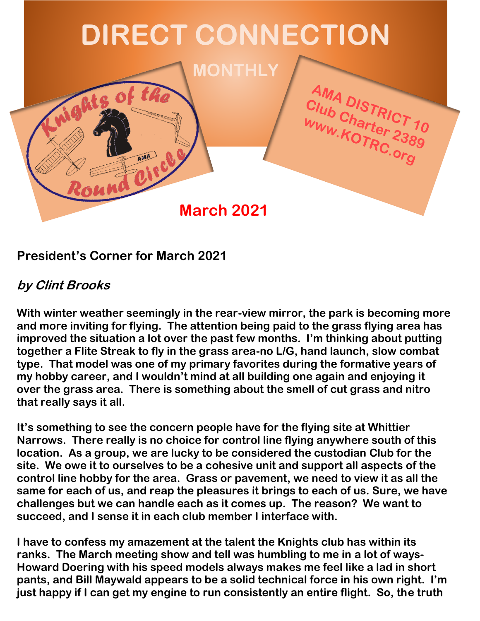

#### **President's Corner for March 2021**

#### **by Clint Brooks**

**With winter weather seemingly in the rear-view mirror, the park is becoming more and more inviting for flying. The attention being paid to the grass flying area has improved the situation a lot over the past few months. I'm thinking about putting together a Flite Streak to fly in the grass area-no L/G, hand launch, slow combat type. That model was one of my primary favorites during the formative years of my hobby career, and I wouldn't mind at all building one again and enjoying it over the grass area. There is something about the smell of cut grass and nitro that really says it all.**

**It's something to see the concern people have for the flying site at Whittier Narrows. There really is no choice for control line flying anywhere south of this location. As a group, we are lucky to be considered the custodian Club for the site. We owe it to ourselves to be a cohesive unit and support all aspects of the control line hobby for the area. Grass or pavement, we need to view it as all the same for each of us, and reap the pleasures it brings to each of us. Sure, we have challenges but we can handle each as it comes up. The reason? We want to succeed, and I sense it in each club member I interface with.** 

**I have to confess my amazement at the talent the Knights club has within its ranks. The March meeting show and tell was humbling to me in a lot of ways-Howard Doering with his speed models always makes me feel like a lad in short pants, and Bill Maywald appears to be a solid technical force in his own right. I'm just happy if I can get my engine to run consistently an entire flight. So, the truth**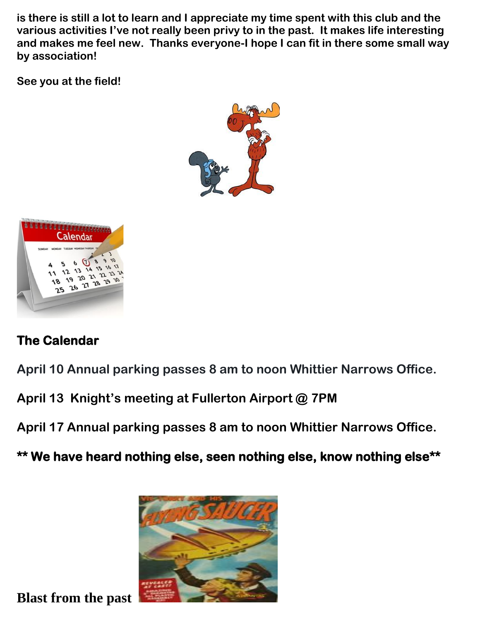**is there is still a lot to learn and I appreciate my time spent with this club and the various activities I've not really been privy to in the past. It makes life interesting and makes me feel new. Thanks everyone-I hope I can fit in there some small way by association!**

**See you at the field!**





### **The Calendar**

**April 10 Annual parking passes 8 am to noon Whittier Narrows Office.**

**April 13 Knight's meeting at Fullerton Airport @ 7PM**

**April 17 Annual parking passes 8 am to noon Whittier Narrows Office.** 

**\*\* We have heard nothing else, seen nothing else, know nothing else\*\*** 



**Blast from the past**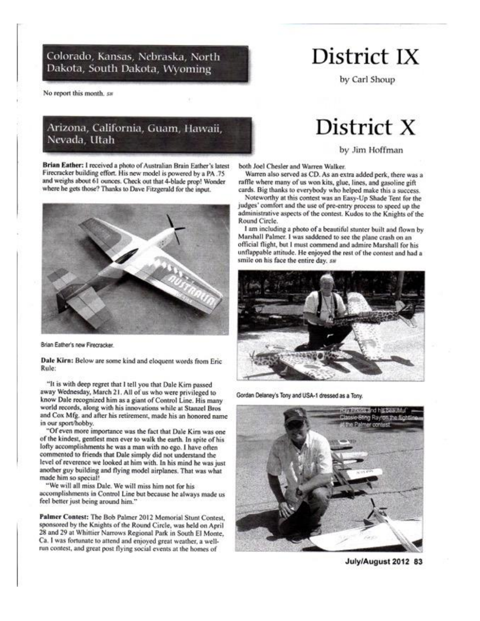Colorado, Kansas, Nebraska, North Dakota, South Dakota, Wyoming

No report this month, sw

#### Arizona, California, Guam, Hawaii, Nevada, Utah

Brian Eather: I received a photo of Australian Brain Eather's latest Firecracker building effort. His new model is powered by a PA .75 and weighs about 61 ounces. Check out that 4-blade prop! Wonder where he gets those? Thanks to Dave Fitzgerald for the input.



Brian Eather's new Firecracker.

Dale Kirn: Below are some kind and eloquent words from Eric Rule:

"It is with deep regret that I tell you that Dale Kirn passed away Wednesday, March 21. All of us who were privileged to know Dale recognized him as a giant of Control Line. His many world records, along with his innovations while at Stanzel Bros and Cox Mfg. and after his retirement, made his an honored name in our sport/hobby.

"Of even more importance was the fact that Dale Kirn was one of the kindest, gentlest men ever to walk the earth. In spite of his lofty accomplishments he was a man with no ego. I have often commented to friends that Dale simply did not understand the level of reverence we looked at him with. In his mind he was just another guy building and flying model airplanes. That was what made him so special!

"We will all miss Dale. We will miss him not for his accomplishments in Control Line but because he always made us feel better just being around him."

Palmer Contest: The Bob Palmer 2012 Memorial Stunt Contest. sponsored by the Knights of the Round Circle, was held on April 28 and 29 at Whittier Narrows Regional Park in South El Monte, Ca. I was fortunate to attend and enjoyed great weather, a wellrun contest, and great post flying social events at the homes of

### District IX

by Carl Shoup

## District X

by Jim Hoffman

both Joel Chesler and Warren Walker.

Warren also served as CD. As an extra added perk, there was a raffle where many of us won kits, glue, lines, and gasoline gift cards. Big thanks to everybody who helped make this a success.

Noteworthy at this contest was an Easy-Up Shade Tent for the judges' comfort and the use of pre-entry process to speed up the administrative aspects of the contest. Kudos to the Knights of the Round Circle.

I am including a photo of a beautiful stunter built and flown by Marshall Palmer. I was saddened to see the plane crash on an official flight, but I must commend and admire Marshall for his unflappable attitude. He enjoyed the rest of the contest and had a smile on his face the entire day, sw



Gordan Delaney's Tony and USA-1 dressed as a Tony.



July/August 2012 83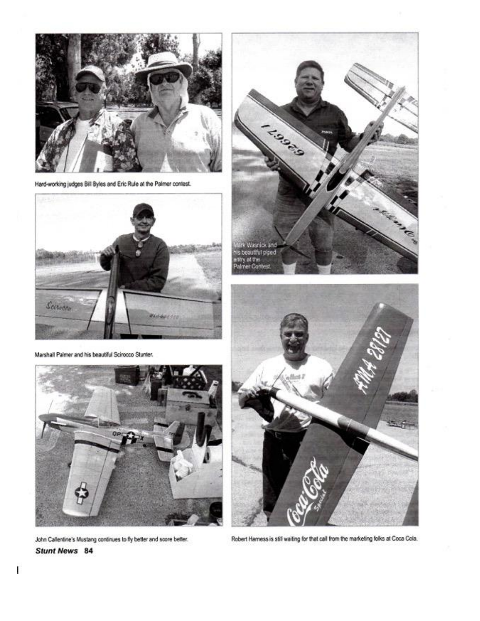

Hard-working judges Bill Byles and Eric Rule at the Palmer contest.



Marshall Palmer and his beautiful Scirocco Stunter.



John Callentine's Mustang continues to fly better and score better. **Stunt News** 84





Robert Harness is still waiting for that call from the marketing folks at Coca Cola.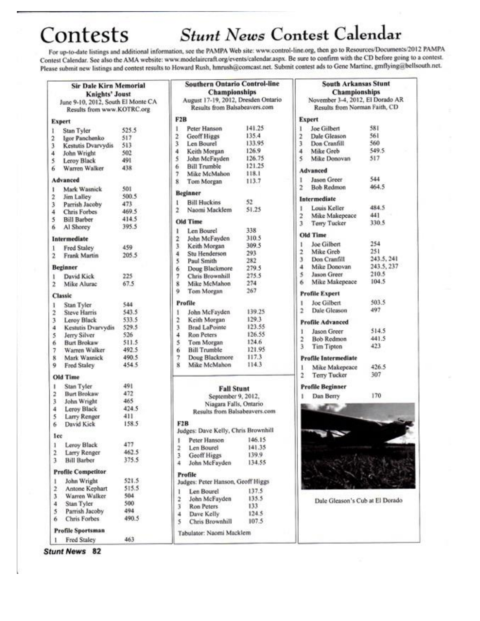# Contests

### **Stunt News Contest Calendar**

For up-to-date listings and additional information, see the PAMPA Web site: www.control-line.org, then go to Resources/Documents/2012 PAMPA Contest Calendar. See also the AMA website: www.modelaircraft.org/events/calendar.aspx. Be sure to confirm with the CD before going to a contest. Please submit new listings and contest results to Howard Rush, hmrush@comcast.net. Submit contest ads to Gene Martine, gmflying@bellsouth.net.

**Southern Ontario Control-line** 

|                         | <b>Sir Dale Kirn Memorial</b><br><b>Knights' Joust</b> |              |
|-------------------------|--------------------------------------------------------|--------------|
|                         | June 9-10, 2012, South El Monte CA                     |              |
|                         | Results from www.KOTRC.org                             |              |
|                         |                                                        |              |
|                         | Expert                                                 |              |
| L                       | Stan Tyler                                             | 525.5        |
| $\overline{\mathbf{r}}$ | Igor Panchenko                                         | 517          |
| 3                       | Kestutis Dvarvydis                                     | 513          |
| 4                       | John Wright                                            | 502          |
| 5                       | Leroy Black                                            | 491          |
| 6                       | Warren Walker                                          | 438          |
|                         | Advanced                                               |              |
| 1                       | Mark Wasnick                                           | 501          |
| 2                       | Jim Lalley                                             | 500.5        |
| 3                       | Parrish Jacoby                                         | 473          |
| 4                       | Chris Forbes                                           | 469.5        |
| 5                       | <b>Bill Barber</b>                                     | 414.5        |
| 6                       | Al Shorey                                              | 395.5        |
|                         | Intermediate                                           |              |
| 1                       | Fred Staley                                            | 459          |
| $\overline{2}$          | Frank Martin                                           | 205.5        |
|                         | <b>Beginner</b>                                        |              |
| 1                       | David Kick                                             | 225          |
| 2                       | Mike Alurac                                            | 67.5         |
|                         | Classic                                                |              |
| ı                       |                                                        | 544          |
|                         | Stan Tyler                                             | 543.5        |
| $\overline{\mathbf{2}}$ | <b>Steve Harris</b>                                    |              |
| 3                       | Leroy Black                                            | 533.5        |
| 4                       | Kestutis Dvarvydis                                     | 529.5        |
| 5                       | Jerry Silver                                           | 526          |
| 6                       | Burt Brokaw                                            | 511.5        |
| 7                       | Warren Walker                                          | 492.5        |
| 8                       | Mark Wasnick                                           | 490.5        |
| 9                       | Fred Staley                                            | 454.5        |
|                         | <b>Old Time</b>                                        |              |
| ı                       | Stan Tyler                                             | 491          |
| 2                       | <b>Burt Brokaw</b>                                     | 472          |
| 3                       | John Wright                                            | 465          |
| 4                       | Leroy Black                                            | 424.5        |
| 5                       | Larry Renger                                           | 411          |
| 6                       | David Kick                                             | 158.5        |
| lee                     |                                                        |              |
| ī                       | Leroy Black                                            | 477          |
| $\overline{\mathbf{2}}$ | Larry Renger                                           | 462.5        |
| 3                       | <b>Bill Barber</b>                                     | 375.5        |
|                         | <b>Profile Competitor</b>                              |              |
| 1                       | John Wright                                            | 521.5        |
| $\overline{\mathbf{r}}$ | Antone Kephart                                         | 515.5        |
|                         |                                                        | 504          |
| 3                       | Warren Walker                                          |              |
| 4                       | Stan Tyler                                             | 500          |
| 5<br>6                  | Parrish Jacoby<br>Chris Forbes                         | 494<br>490.5 |
|                         |                                                        |              |
|                         | Profile Sportsman                                      |              |
| 1                       | Fred Staley                                            | 463          |

|                                                                      | <b>Championships</b>                |                 |  |                     |        |
|----------------------------------------------------------------------|-------------------------------------|-----------------|--|---------------------|--------|
| August 17-19, 2012, Dresden Ontario<br>Results from Balsabeavers.com |                                     |                 |  |                     |        |
|                                                                      |                                     |                 |  |                     |        |
|                                                                      | Peter Hanson                        | 141.25          |  |                     |        |
|                                                                      | Geoff Higgs                         | 135.4           |  |                     |        |
|                                                                      | Len Bourel                          | 133.95          |  |                     |        |
| 2. m m m m m                                                         | Keith Morgan<br>John McFayden       | 126.9<br>126.75 |  |                     |        |
|                                                                      |                                     |                 |  | <b>Bill Trumble</b> | 121.25 |
|                                                                      | Mike McMahon                        | 118.1           |  |                     |        |
| ġ                                                                    | Tom Morgan                          | 113.7           |  |                     |        |
|                                                                      | Beginner                            |                 |  |                     |        |
| t                                                                    | <b>Bill Huckins</b>                 | 52              |  |                     |        |
| ž                                                                    | Naomi Macklem                       | 51.25           |  |                     |        |
|                                                                      | Old Time                            |                 |  |                     |        |
| ı.                                                                   | Len Bourel                          | 338             |  |                     |        |
|                                                                      | John McFayden                       | 310.5           |  |                     |        |
| 2345                                                                 | Keith Morgan                        | 309.5           |  |                     |        |
|                                                                      | Stu Henderson                       | 293             |  |                     |        |
|                                                                      | Paul Smith                          | 282             |  |                     |        |
|                                                                      | Doug Blackmore                      | 279.5           |  |                     |        |
|                                                                      | Chris Brownhill                     | 275.5           |  |                     |        |
| 8                                                                    | Mike McMahon                        | 274             |  |                     |        |
| Ò,                                                                   | Tom Morgan                          | 267             |  |                     |        |
|                                                                      | Profile                             |                 |  |                     |        |
| ı.                                                                   | John McFayden                       | 139.25          |  |                     |        |
| 2                                                                    | Keith Morgan                        | 129.3           |  |                     |        |
| ÿ.                                                                   | <b>Brad LaPointe</b>                | 123.55          |  |                     |        |
| 4                                                                    | Ron Peters                          | 126.55          |  |                     |        |
| \$.                                                                  | Tom Morgan                          | 124.6           |  |                     |        |
| 6                                                                    | <b>Bill Trumble</b>                 | 121.95          |  |                     |        |
| 7                                                                    | Doug Blackmore                      | 117.3           |  |                     |        |
| ġ                                                                    | Mike McMahon                        | 114.3           |  |                     |        |
|                                                                      | <b>Fall Stunt</b>                   |                 |  |                     |        |
|                                                                      | September 9, 2012,                  |                 |  |                     |        |
|                                                                      | Niagara Falls, Ontario              |                 |  |                     |        |
|                                                                      | Results from Balsabeavers.com       |                 |  |                     |        |
|                                                                      | F2B                                 |                 |  |                     |        |
|                                                                      | Judges: Dave Kelly, Chris Brownhill |                 |  |                     |        |
| ı                                                                    | Peter Hanson                        | 146.15          |  |                     |        |
| 2                                                                    | Len Bourel                          | 141.35          |  |                     |        |
| ı                                                                    | Geoff Higgs                         | 139.9           |  |                     |        |

|               | <b>L'EST DE MONTENEUR DE MONTENEUR DE L'AUTORIT DE L'AUTORIT DE L'AUTORIT DE L'AUTORIT DE L'AUTORIT DE L'AUTORIT D</b><br>Results from Balsabeavers.com |        |
|---------------|---------------------------------------------------------------------------------------------------------------------------------------------------------|--------|
| F2B           |                                                                                                                                                         |        |
|               | Judges: Dave Kelly, Chris Brownhill                                                                                                                     |        |
| Ŀ             | Peter Hanson                                                                                                                                            | 146.15 |
|               | Len Bourel                                                                                                                                              | 141.35 |
| $\frac{2}{3}$ | Geoff Higgs                                                                                                                                             | 139.9  |
|               | John McFayden                                                                                                                                           | 134.55 |
|               | Profile                                                                                                                                                 |        |
|               | Judges: Peter Hanson, Geoff Higgs                                                                                                                       |        |
| ı             | Len Bourel                                                                                                                                              | 137.5  |
|               | John McFayden                                                                                                                                           | 135.5  |
|               | Ron Peters                                                                                                                                              | 133    |
|               | Dave Kelly                                                                                                                                              | 124.5  |
| 2 jul 14      | Chris Brownhill                                                                                                                                         | 107.5  |
|               | Tabulator: Naomi Marklem                                                                                                                                |        |

|    | <b>South Arkansas Stunt</b>      |            |
|----|----------------------------------|------------|
|    | <b>Championships</b>             |            |
|    | November 3-4, 2012, El Dorado AR |            |
|    | Results from Norman Faith, CD    |            |
|    | Expert                           |            |
| L  | Joe Gilbert                      | 581        |
| 2  | Dale Gleason                     | 561        |
| š  | Don Cranfill                     | 560        |
| į  | Mike Greb                        | 549.5      |
| ç. | Mike Donovan                     | 517        |
|    | Advanced                         |            |
| t  |                                  | 544        |
| Ż  | Jason Greer<br><b>Bob Redmon</b> | 464.5      |
|    |                                  |            |
|    | Intermediate                     |            |
| ı  | Louis Keller                     | 484.5      |
| Ż  | Mike Makepeace                   | 441        |
| 3  | Terry Tucker                     | 330.5      |
|    | Old Time                         |            |
| I. | Joe Gilbert                      | 254        |
| 2  | Mike Greb                        | 251        |
| 3  | Don Cranfill                     | 243.5, 241 |
| 4  | Mike Donovan                     | 243.5, 237 |
| 5  | Jason Greer                      | 210.5      |
| 6. | Mike Makepeace                   | 104.5      |
|    | Profile Expert                   |            |
|    | Joe Gilbert                      | 503.5      |
| 2  | Dale Gleason                     | 497        |
|    | <b>Profile Advanced</b>          |            |
| ī  | Jason Greer                      | 514.5      |
| 2  | <b>Bob Redmon</b>                | 441.5      |
| 3  | <b>Tim Tipton</b>                | 423        |
|    |                                  |            |
|    | <b>Profile Intermediate</b>      |            |
| ı  | Mike Makepeace                   | 426.5      |
| 2  | <b>Terry Tucker</b>              | 307        |
|    | <b>Profile Beginner</b>          |            |
| ï  | Dan Berry                        | 170        |
| 蹁  |                                  |            |
|    |                                  |            |
|    |                                  |            |
|    |                                  |            |
|    |                                  |            |
|    |                                  |            |
|    |                                  |            |
|    |                                  |            |
|    |                                  |            |
|    |                                  |            |
|    | Dale Gleason's Cub at El Dorado  |            |
|    |                                  |            |
|    |                                  |            |

**Stunt News** 82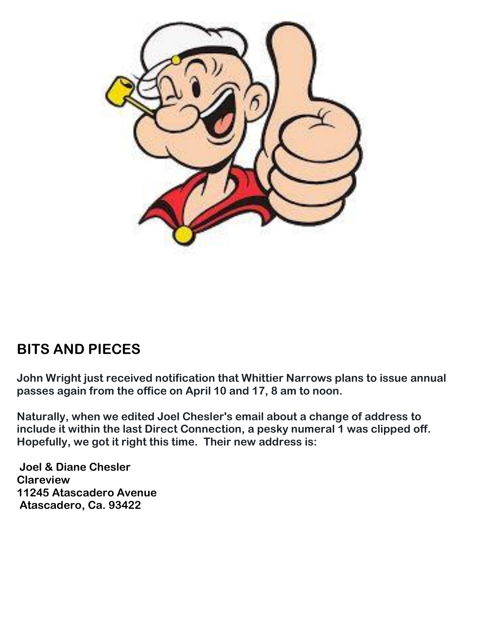

### **BITS AND PIECES**

**John Wright just received notification that Whittier Narrows plans to issue annual passes again from the office on April 10 and 17, 8 am to noon.** 

**Naturally, when we edited Joel Chesler's email about a change of address to include it within the last Direct Connection, a pesky numeral 1 was clipped off. Hopefully, we got it right this time. Their new address is:**

**Joel & Diane Chesler Clareview 11245 Atascadero Avenue Atascadero, Ca. 93422**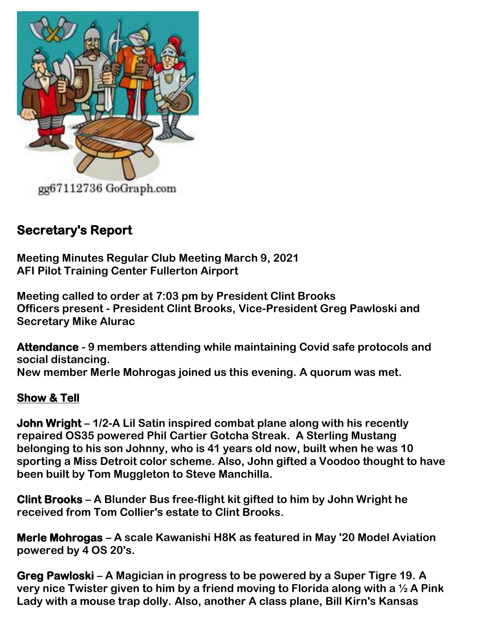

### **Secretary's Report**

**Meeting Minutes Regular Club Meeting March 9, 2021 AFI Pilot Training Center Fullerton Airport**

**Meeting called to order at 7:03 pm by President Clint Brooks Officers present - President Clint Brooks, Vice-President Greg Pawloski and Secretary Mike Alurac**

**Attendance - 9 members attending while maintaining Covid safe protocols and social distancing. New member Merle Mohrogas joined us this evening. A quorum was met.** 

#### **Show & Tell**

**John Wright – 1/2-A Lil Satin inspired combat plane along with his recently repaired OS35 powered Phil Cartier Gotcha Streak. A Sterling Mustang belonging to his son Johnny, who is 41 years old now, built when he was 10 sporting a Miss Detroit color scheme. Also, John gifted a Voodoo thought to have been built by Tom Muggleton to Steve Manchilla.** 

**Clint Brooks – A Blunder Bus free-flight kit gifted to him by John Wright he received from Tom Collier's estate to Clint Brooks.** 

**Merle Mohrogas – A scale Kawanishi H8K as featured in May '20 Model Aviation powered by 4 OS 20's.** 

**Greg Pawloski – A Magician in progress to be powered by a Super Tigre 19. A very nice Twister given to him by a friend moving to Florida along with a ½ A Pink Lady with a mouse trap dolly. Also, another A class plane, Bill Kirn's Kansas**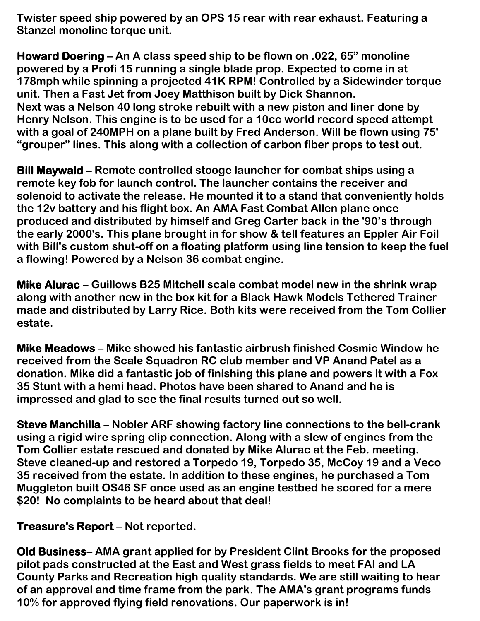**Twister speed ship powered by an OPS 15 rear with rear exhaust. Featuring a Stanzel monoline torque unit.**

**Howard Doering – An A class speed ship to be flown on .022, 65" monoline powered by a Profi 15 running a single blade prop. Expected to come in at 178mph while spinning a projected 41K RPM! Controlled by a Sidewinder torque unit. Then a Fast Jet from Joey Matthison built by Dick Shannon. Next was a Nelson 40 long stroke rebuilt with a new piston and liner done by Henry Nelson. This engine is to be used for a 10cc world record speed attempt with a goal of 240MPH on a plane built by Fred Anderson. Will be flown using 75' "grouper" lines. This along with a collection of carbon fiber props to test out.** 

**Bill Maywald – Remote controlled stooge launcher for combat ships using a remote key fob for launch control. The launcher contains the receiver and solenoid to activate the release. He mounted it to a stand that conveniently holds the 12v battery and his flight box. An AMA Fast Combat Allen plane once produced and distributed by himself and Greg Carter back in the '90's through the early 2000's. This plane brought in for show & tell features an Eppler Air Foil with Bill's custom shut-off on a floating platform using line tension to keep the fuel a flowing! Powered by a Nelson 36 combat engine.** 

**Mike Alurac – Guillows B25 Mitchell scale combat model new in the shrink wrap along with another new in the box kit for a Black Hawk Models Tethered Trainer made and distributed by Larry Rice. Both kits were received from the Tom Collier estate.** 

**Mike Meadows – Mike showed his fantastic airbrush finished Cosmic Window he received from the Scale Squadron RC club member and VP Anand Patel as a donation. Mike did a fantastic job of finishing this plane and powers it with a Fox 35 Stunt with a hemi head. Photos have been shared to Anand and he is impressed and glad to see the final results turned out so well.** 

**Steve Manchilla – Nobler ARF showing factory line connections to the bell-crank using a rigid wire spring clip connection. Along with a slew of engines from the Tom Collier estate rescued and donated by Mike Alurac at the Feb. meeting. Steve cleaned-up and restored a Torpedo 19, Torpedo 35, McCoy 19 and a Veco 35 received from the estate. In addition to these engines, he purchased a Tom Muggleton built OS46 SF once used as an engine testbed he scored for a mere \$20! No complaints to be heard about that deal!** 

**Treasure's Report – Not reported.** 

**Old Business– AMA grant applied for by President Clint Brooks for the proposed pilot pads constructed at the East and West grass fields to meet FAI and LA County Parks and Recreation high quality standards. We are still waiting to hear of an approval and time frame from the park. The AMA's grant programs funds 10% for approved flying field renovations. Our paperwork is in!**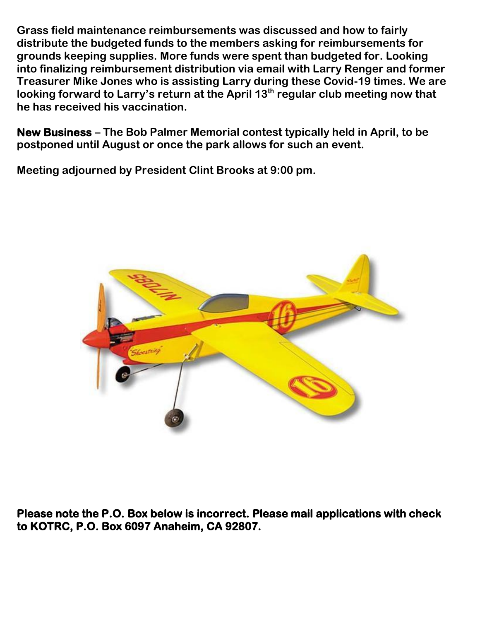**Grass field maintenance reimbursements was discussed and how to fairly distribute the budgeted funds to the members asking for reimbursements for grounds keeping supplies. More funds were spent than budgeted for. Looking into finalizing reimbursement distribution via email with Larry Renger and former Treasurer Mike Jones who is assisting Larry during these Covid-19 times. We are looking forward to Larry's return at the April 13th regular club meeting now that he has received his vaccination.** 

**New Business – The Bob Palmer Memorial contest typically held in April, to be postponed until August or once the park allows for such an event.** 

**Meeting adjourned by President Clint Brooks at 9:00 pm.** 



**Please note the P.O. Box below is incorrect. Please mail applications with check to KOTRC, P.O. Box 6097 Anaheim, CA 92807.**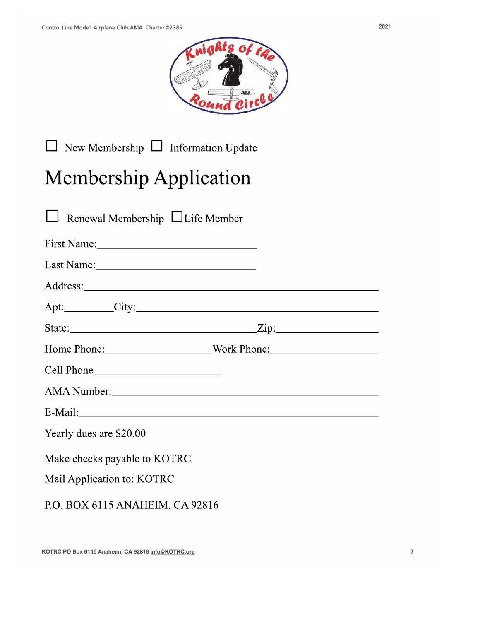

 $\Box$  New Membership  $\Box$  Information Update

# Membership Application

| $\Box$ Renewal Membership $\Box$ Life Member |                                                                                  |  |  |
|----------------------------------------------|----------------------------------------------------------------------------------|--|--|
|                                              |                                                                                  |  |  |
|                                              |                                                                                  |  |  |
|                                              |                                                                                  |  |  |
|                                              |                                                                                  |  |  |
|                                              |                                                                                  |  |  |
|                                              | Home Phone: ____________________________Work Phone: ____________________________ |  |  |
|                                              |                                                                                  |  |  |
| AMA Number: 1988                             |                                                                                  |  |  |
|                                              |                                                                                  |  |  |
| Yearly dues are \$20.00                      |                                                                                  |  |  |
| Make checks payable to KOTRC                 |                                                                                  |  |  |
| Mail Application to: KOTRC                   |                                                                                  |  |  |
| P.O. BOX 6115 ANAHEIM, CA 92816              |                                                                                  |  |  |